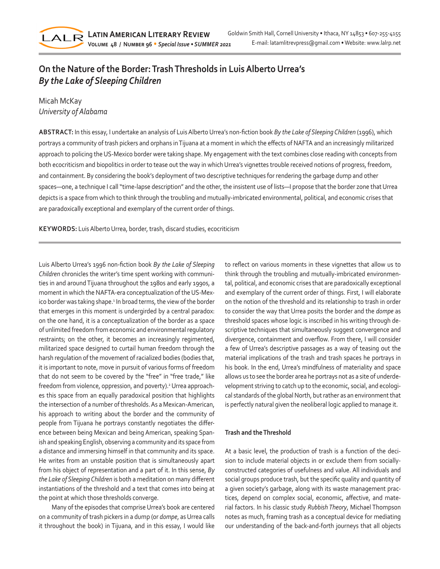

# **On the Nature of the Border: Trash Thresholds in Luis Alberto Urrea's** *By the Lake of Sleeping Children*

# Micah McKay *University of Alabama*

**ABSTRACT:** In this essay, I undertake an analysis of Luis Alberto Urrea's non-fiction book *By the Lake of Sleeping Children* (1996), which portrays a community of trash pickers and orphans in Tijuana at a moment in which the effects of NAFTA and an increasingly militarized approach to policing the US-Mexico border were taking shape. My engagement with the text combines close reading with concepts from both ecocriticism and biopolitics in order to tease out the way in which Urrea's vignettes trouble received notions of progress, freedom, and containment. By considering the book's deployment of two descriptive techniques for rendering the garbage dump and other spaces—one, a technique I call "time-lapse description" and the other, the insistent use of lists—I propose that the border zone that Urrea depicts is a space from which to think through the troubling and mutually-imbricated environmental, political, and economic crises that are paradoxically exceptional and exemplary of the current order of things.

**KEYWORDS:** Luis Alberto Urrea, border, trash, discard studies, ecocriticism

Luis Alberto Urrea's 1996 non-fiction book *By the Lake of Sleeping Children* chronicles the writer's time spent working with communities in and around Tijuana throughout the 1980s and early 1990s, a moment in which the NAFTA-era conceptualization of the US-Mexico border was taking shape.<sup>1</sup> In broad terms, the view of the border that emerges in this moment is undergirded by a central paradox: on the one hand, it is a conceptualization of the border as a space of unlimited freedom from economic and environmental regulatory restraints; on the other, it becomes an increasingly regimented, militarized space designed to curtail human freedom through the harsh regulation of the movement of racialized bodies (bodies that, it is important to note, move in pursuit of various forms of freedom that do not seem to be covered by the "free" in "free trade," like freedom from violence, oppression, and poverty).<sup>2</sup> Urrea approaches this space from an equally paradoxical position that highlights the intersection of a number of thresholds. As a Mexican-American, his approach to writing about the border and the community of people from Tijuana he portrays constantly negotiates the difference between being Mexican and being American, speaking Spanish and speaking English, observing a community and its space from a distance and immersing himself in that community and its space. He writes from an unstable position that is simultaneously apart from his object of representation and a part of it. In this sense, *By the Lake of Sleeping Children* is both a meditation on many different instantiations of the threshold and a text that comes into being at the point at which those thresholds converge.

Many of the episodes that comprise Urrea's book are centered on a community of trash pickers in a dump (or *dompe*, as Urrea calls it throughout the book) in Tijuana, and in this essay, I would like to reflect on various moments in these vignettes that allow us to think through the troubling and mutually-imbricated environmental, political, and economic crises that are paradoxically exceptional and exemplary of the current order of things. First, I will elaborate on the notion of the threshold and its relationship to trash in order to consider the way that Urrea posits the border and the *dompe* as threshold spaces whose logic is inscribed in his writing through descriptive techniques that simultaneously suggest convergence and divergence, containment and overflow. From there, I will consider a few of Urrea's descriptive passages as a way of teasing out the material implications of the trash and trash spaces he portrays in his book. In the end, Urrea's mindfulness of materiality and space allows us to see the border area he portrays not as a site of underdevelopment striving to catch up to the economic, social, and ecological standards of the global North, but rather as an environment that is perfectly natural given the neoliberal logic applied to manage it.

## **Trash and the Threshold**

At a basic level, the production of trash is a function of the decision to include material objects in or exclude them from sociallyconstructed categories of usefulness and value. All individuals and social groups produce trash, but the specific quality and quantity of a given society's garbage, along with its waste management practices, depend on complex social, economic, affective, and material factors. In his classic study *Rubbish Theory*, Michael Thompson notes as much, framing trash as a conceptual device for mediating our understanding of the back-and-forth journeys that all objects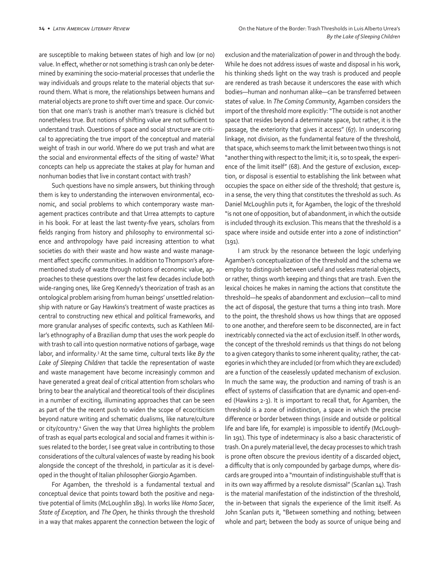are susceptible to making between states of high and low (or no) value. In effect, whether or not something is trash can only be determined by examining the socio-material processes that underlie the way individuals and groups relate to the material objects that surround them. What is more, the relationships between humans and material objects are prone to shift over time and space. Our conviction that one man's trash is another man's treasure is clichéd but nonetheless true. But notions of shifting value are not sufficient to understand trash. Questions of space and social structure are critical to appreciating the true import of the conceptual and material weight of trash in our world. Where do we put trash and what are the social and environmental effects of the siting of waste? What concepts can help us appreciate the stakes at play for human and nonhuman bodies that live in constant contact with trash?

Such questions have no simple answers, but thinking through them is key to understanding the interwoven environmental, economic, and social problems to which contemporary waste management practices contribute and that Urrea attempts to capture in his book. For at least the last twenty-five years, scholars from fields ranging from history and philosophy to environmental science and anthropology have paid increasing attention to what societies do with their waste and how waste and waste management affect specific communities. In addition to Thompson's aforementioned study of waste through notions of economic value, approaches to these questions over the last few decades include both wide-ranging ones, like Greg Kennedy's theorization of trash as an ontological problem arising from human beings' unsettled relationship with nature or Gay Hawkins's treatment of waste practices as central to constructing new ethical and political frameworks, and more granular analyses of specific contexts, such as Kathleen Millar's ethnography of a Brazilian dump that uses the work people do with trash to call into question normative notions of garbage, wage labor, and informality.<sup>3</sup> At the same time, cultural texts like *By the Lake of Sleeping Children* that tackle the representation of waste and waste management have become increasingly common and have generated a great deal of critical attention from scholars who bring to bear the analytical and theoretical tools of their disciplines in a number of exciting, illuminating approaches that can be seen as part of the the recent push to widen the scope of ecocriticism beyond nature writing and schematic dualisms, like nature/culture or city/country.4 Given the way that Urrea highlights the problem of trash as equal parts ecological and social and frames it within issues related to the border, I see great value in contributing to those considerations of the cultural valences of waste by reading his book alongside the concept of the threshold, in particular as it is developed in the thought of Italian philosopher Giorgio Agamben.

For Agamben, the threshold is a fundamental textual and conceptual device that points toward both the positive and negative potential of limits (McLoughlin 189). In works like *Homo Sacer*, *State of Exception*, and *The Open*, he thinks through the threshold in a way that makes apparent the connection between the logic of exclusion and the materialization of power in and through the body. While he does not address issues of waste and disposal in his work, his thinking sheds light on the way trash is produced and people are rendered as trash because it underscores the ease with which bodies—human and nonhuman alike—can be transferred between states of value. In *The Coming Community*, Agamben considers the import of the threshold more explicitly: "The outside is not another space that resides beyond a determinate space, but rather, it is the passage, the exteriority that gives it access" (67). In underscoring linkage, not division, as the fundamental feature of the threshold, that space, which seems to mark the limit between two things is not "another thing with respect to the limit; it is, so to speak, the experience of the limit itself" (68). And the gesture of exclusion, exception, or disposal is essential to establishing the link between what occupies the space on either side of the threshold; that gesture is, in a sense, the very thing that constitutes the threshold as such. As Daniel McLoughlin puts it, for Agamben, the logic of the threshold "is not one of opposition, but of abandonment, in which the outside is included through its exclusion. This means that the threshold is a space where inside and outside enter into a zone of indistinction" (191).

I am struck by the resonance between the logic underlying Agamben's conceptualization of the threshold and the schema we employ to distinguish between useful and useless material objects, or rather, things worth keeping and things that are trash. Even the lexical choices he makes in naming the actions that constitute the threshold—he speaks of abandonment and exclusion—call to mind the act of disposal, the gesture that turns a thing into trash. More to the point, the threshold shows us how things that are opposed to one another, and therefore seem to be disconnected, are in fact inextricably connected via the act of exclusion itself. In other words, the concept of the threshold reminds us that things do not belong to a given category thanks to some inherent quality; rather, the categories in which they are included (or from which they are excluded) are a function of the ceaselessly updated mechanism of exclusion. In much the same way, the production and naming of trash is an effect of systems of classification that are dynamic and open-ended (Hawkins 2-3). It is important to recall that, for Agamben, the threshold is a zone of indistinction, a space in which the precise difference or border between things (inside and outside or political life and bare life, for example) is impossible to identify (McLoughlin 191). This type of indeterminacy is also a basic characteristic of trash. On a purely material level, the decay processes to which trash is prone often obscure the previous identity of a discarded object, a difficulty that is only compounded by garbage dumps, where discards are grouped into a "mountain of indistinguishable stuff that is in its own way affirmed by a resolute dismissal" (Scanlan 14). Trash is the material manifestation of the indistinction of the threshold, the in-between that signals the experience of the limit itself. As John Scanlan puts it, "Between something and nothing; between whole and part; between the body as source of unique being and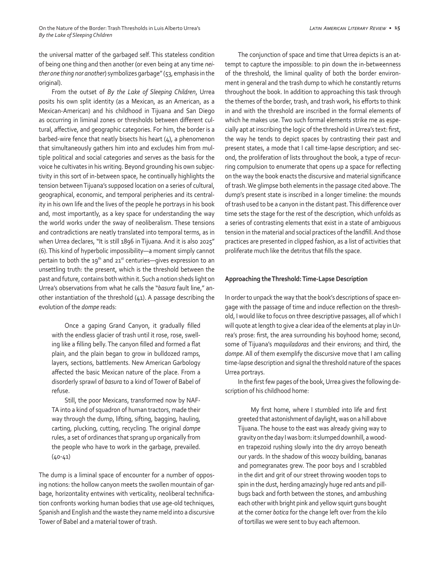the universal matter of the garbaged self. This stateless condition of being one thing and then another (or even being at any time *neither one thing nor another*) symbolizes garbage" (53, emphasis in the original).

From the outset of *By the Lake of Sleeping Children*, Urrea posits his own split identity (as a Mexican, as an American, as a Mexican-American) and his childhood in Tijuana and San Diego as occurring in liminal zones or thresholds between different cultural, affective, and geographic categories. For him, the border is a barbed-wire fence that neatly bisects his heart (4), a phenomenon that simultaneously gathers him into and excludes him from multiple political and social categories and serves as the basis for the voice he cultivates in his writing. Beyond grounding his own subjectivity in this sort of in-between space, he continually highlights the tension between Tijuana's supposed location on a series of cultural, geographical, economic, and temporal peripheries and its centrality in his own life and the lives of the people he portrays in his book and, most importantly, as a key space for understanding the way the world works under the sway of neoliberalism. These tensions and contradictions are neatly translated into temporal terms, as in when Urrea declares, "It is still 1896 in Tijuana. And it is also 2025" (6). This kind of hyperbolic impossibility—a moment simply cannot pertain to both the 19<sup>th</sup> and 21<sup>st</sup> centuries—gives expression to an unsettling truth: the present, which is the threshold between the past and future, contains both within it. Such a notion sheds light on Urrea's observations from what he calls the "*basura* fault line," another instantiation of the threshold (41). A passage describing the evolution of the *dompe* reads:

Once a gaping Grand Canyon, it gradually filled with the endless glacier of trash until it rose, rose, swelling like a filling belly. The canyon filled and formed a flat plain, and the plain began to grow in bulldozed ramps, layers, sections, battlements. New American Garbology affected the basic Mexican nature of the place. From a disorderly sprawl of *basura* to a kind of Tower of Babel of refuse.

Still, the poor Mexicans, transformed now by NAF-TA into a kind of squadron of human tractors, made their way through the dump, lifting, sifting, bagging, hauling, carting, plucking, cutting, recycling. The original *dompe* rules, a set of ordinances that sprang up organically from the people who have to work in the garbage, prevailed.  $(40 - 41)$ 

The dump is a liminal space of encounter for a number of opposing notions: the hollow canyon meets the swollen mountain of garbage, horizontality entwines with verticality, neoliberal technification confronts working human bodies that use age-old techniques, Spanish and English and the waste they name meld into a discursive Tower of Babel and a material tower of trash.

The conjunction of space and time that Urrea depicts is an attempt to capture the impossible: to pin down the in-betweenness of the threshold, the liminal quality of both the border environment in general and the trash dump to which he constantly returns throughout the book. In addition to approaching this task through the themes of the border, trash, and trash work, his efforts to think in and with the threshold are inscribed in the formal elements of which he makes use. Two such formal elements strike me as especially apt at inscribing the logic of the threshold in Urrea's text: first, the way he tends to depict spaces by contrasting their past and present states, a mode that I call time-lapse description; and second, the proliferation of lists throughout the book, a type of recurring compulsion to enumerate that opens up a space for reflecting on the way the book enacts the discursive and material significance of trash. We glimpse both elements in the passage cited above. The dump's present state is inscribed in a longer timeline: the mounds of trash used to be a canyon in the distant past. This difference over time sets the stage for the rest of the description, which unfolds as a series of contrasting elements that exist in a state of ambiguous tension in the material and social practices of the landfill. And those practices are presented in clipped fashion, as a list of activities that proliferate much like the detritus that fills the space.

#### **Approaching the Threshold: Time-Lapse Description**

In order to unpack the way that the book's descriptions of space engage with the passage of time and induce reflection on the threshold, I would like to focus on three descriptive passages, all of which I will quote at length to give a clear idea of the elements at play in Urrea's prose: first, the area surrounding his boyhood home; second, some of Tijuana's *maquiladoras* and their environs; and third, the *dompe*. All of them exemplify the discursive move that I am calling time-lapse description and signal the threshold nature of the spaces Urrea portrays.

In the first few pages of the book, Urrea gives the following description of his childhood home:

My first home, where I stumbled into life and first greeted that astonishment of daylight, was on a hill above Tijuana. The house to the east was already giving way to gravity on the day I was born: it slumped downhill, a wooden trapezoid rushing slowly into the dry arroyo beneath our yards. In the shadow of this woozy building, bananas and pomegranates grew. The poor boys and I scrabbled in the dirt and grit of our street throwing wooden tops to spin in the dust, herding amazingly huge red ants and pillbugs back and forth between the stones, and ambushing each other with bright pink and yellow squirt guns bought at the corner *botica* for the change left over from the kilo of tortillas we were sent to buy each afternoon.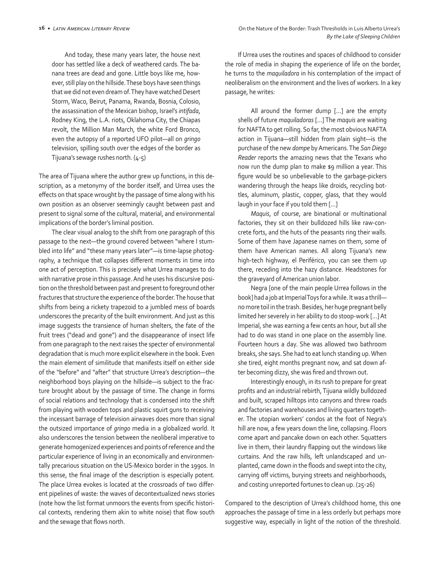And today, these many years later, the house next door has settled like a deck of weathered cards. The banana trees are dead and gone. Little boys like me, however, still play on the hillside. These boys have seen things that we did not even dream of. They have watched Desert Storm, Waco, Beirut, Panama, Rwanda, Bosnia, Colosio, the assassination of the Mexican bishop, Israel's *intifada*, Rodney King, the L.A. riots, Oklahoma City, the Chiapas revolt, the Million Man March, the white Ford Bronco, even the autopsy of a reported UFO pilot—all on *gringo* television, spilling south over the edges of the border as Tijuana's sewage rushes north. (4-5)

The area of Tijuana where the author grew up functions, in this description, as a metonymy of the border itself, and Urrea uses the effects on that space wrought by the passage of time along with his own position as an observer seemingly caught between past and present to signal some of the cultural, material, and environmental implications of the border's liminal position.

The clear visual analog to the shift from one paragraph of this passage to the next—the ground covered between "where I stumbled into life" and "these many years later"—is time-lapse photography, a technique that collapses different moments in time into one act of perception. This is precisely what Urrea manages to do with narrative prose in this passage. And he uses his discursive position on the threshold between past and present to foreground other fractures that structure the experience of the border. The house that shifts from being a rickety trapezoid to a jumbled mess of boards underscores the precarity of the built environment. And just as this image suggests the transience of human shelters, the fate of the fruit trees ("dead and gone") and the disappearance of insect life from one paragraph to the next raises the specter of environmental degradation that is much more explicit elsewhere in the book. Even the main element of similitude that manifests itself on either side of the "before" and "after" that structure Urrea's description—the neighborhood boys playing on the hillside—is subject to the fracture brought about by the passage of time. The change in forms of social relations and technology that is condensed into the shift from playing with wooden tops and plastic squirt guns to receiving the incessant barrage of television airwaves does more than signal the outsized importance of *gringo* media in a globalized world. It also underscores the tension between the neoliberal imperative to generate homogenized experiences and points of reference and the particular experience of living in an economically and environmentally precarious situation on the US-Mexico border in the 1990s. In this sense, the final image of the description is especially potent. The place Urrea evokes is located at the crossroads of two different pipelines of waste: the waves of decontextualized news stories (note how the list format unmoors the events from specific historical contexts, rendering them akin to white noise) that flow south and the sewage that flows north.

If Urrea uses the routines and spaces of childhood to consider the role of media in shaping the experience of life on the border, he turns to the *maquiladora* in his contemplation of the impact of neoliberalism on the environment and the lives of workers. In a key passage, he writes:

All around the former dump […] are the empty shells of future *maquiladoras* […] The *maquis* are waiting for NAFTA to get rolling. So far, the most obvious NAFTA action in Tijuana—still hidden from plain sight—is the purchase of the new *dompe* by Americans. The *San Diego Reader* reports the amazing news that the Texans who now run the dump plan to make \$9 million a year. This figure would be so unbelievable to the garbage-pickers wandering through the heaps like droids, recycling bottles, aluminum, plastic, copper, glass, that they would laugh in your face if you told them […]

*Maquis*, of course, are binational or multinational factories, they sit on their bulldozed hills like raw-concrete forts, and the huts of the peasants ring their walls. Some of them have Japanese names on them, some of them have American names. All along Tijuana's new high-tech highway, el Periférico, you can see them up there, receding into the hazy distance. Headstones for the graveyard of American union labor.

Negra [one of the main people Urrea follows in the book] had a job at Imperial Toys for a while. It was a thrill no more toil in the trash. Besides, her huge pregnant belly limited her severely in her ability to do stoop-work […] At Imperial, she was earning a few cents an hour, but all she had to do was stand in one place on the assembly line. Fourteen hours a day. She was allowed two bathroom breaks, she says. She had to eat lunch standing up. When she tired, eight months pregnant now, and sat down after becoming dizzy, she was fired and thrown out.

Interestingly enough, in its rush to prepare for great profits and an industrial rebirth, Tijuana wildly bulldozed and built, scraped hilltops into canyons and threw roads and factories and warehouses and living quarters together. The utopian workers' condos at the foot of Negra's hill are now, a few years down the line, collapsing. Floors come apart and pancake down on each other. Squatters live in them, their laundry flapping out the windows like curtains. And the raw hills, left unlandscaped and unplanted, came down in the floods and swept into the city, carrying off victims, burying streets and neighborhoods, and costing unreported fortunes to clean up. (25-26)

Compared to the description of Urrea's childhood home, this one approaches the passage of time in a less orderly but perhaps more suggestive way, especially in light of the notion of the threshold.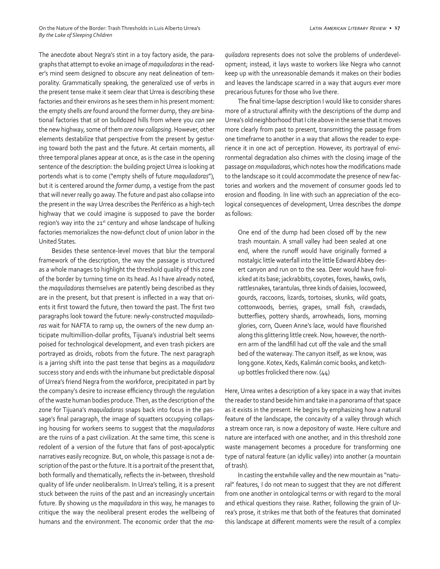The anecdote about Negra's stint in a toy factory aside, the paragraphs that attempt to evoke an image of *maquiladoras* in the reader's mind seem designed to obscure any neat delineation of temporality. Grammatically speaking, the generalized use of verbs in the present tense make it seem clear that Urrea is describing these factories and their environs as he sees them in his present moment: the empty shells *are* found around the former dump, they *are* binational factories that *sit* on bulldozed hills from where you *can see* the new highway, some of them *are now collapsing*. However, other elements destabilize that perspective from the present by gesturing toward both the past and the future. At certain moments, all three temporal planes appear at once, as is the case in the opening sentence of the description: the building project Urrea is looking at portends what is to come ("empty shells of future *maquiladoras*"), but it is centered around the *former* dump, a vestige from the past that will never really go away. The future and past also collapse into the present in the way Urrea describes the Periférico as a high-tech highway that we could imagine is supposed to pave the border region's way into the  $21^{st}$  century and whose landscape of hulking factories memorializes the now-defunct clout of union labor in the United States.

Besides these sentence-level moves that blur the temporal framework of the description, the way the passage is structured as a whole manages to highlight the threshold quality of this zone of the border by turning time on its head. As I have already noted, the *maquiladoras* themselves are patently being described as they are in the present, but that present is inflected in a way that orients it first toward the future, then toward the past. The first two paragraphs look toward the future: newly-constructed *maquiladoras* wait for NAFTA to ramp up, the owners of the new dump anticipate multimillion-dollar profits, Tijuana's industrial belt seems poised for technological development, and even trash pickers are portrayed as droids, robots from the future. The next paragraph is a jarring shift into the past tense that begins as a *maquiladora* success story and ends with the inhumane but predictable disposal of Urrea's friend Negra from the workforce, precipitated in part by the company's desire to increase efficiency through the regulation of the waste human bodies produce. Then, as the description of the zone for Tijuana's *maquiladoras* snaps back into focus in the passage's final paragraph, the image of squatters occupying collapsing housing for workers seems to suggest that the *maquiladoras* are the ruins of a past civilization. At the same time, this scene is redolent of a version of the future that fans of post-apocalyptic narratives easily recognize. But, on whole, this passage is not a description of the past or the future. It is a portrait of the present that, both formally and thematically, reflects the in-between, threshold quality of life under neoliberalism. In Urrea's telling, it is a present stuck between the ruins of the past and an increasingly uncertain future. By showing us the *maquiladora* in this way, he manages to critique the way the neoliberal present erodes the wellbeing of humans and the environment. The economic order that the *ma-* *quiladora* represents does not solve the problems of underdevelopment; instead, it lays waste to workers like Negra who cannot keep up with the unreasonable demands it makes on their bodies and leaves the landscape scarred in a way that augurs ever more precarious futures for those who live there.

The final time-lapse description I would like to consider shares more of a structural affinity with the descriptions of the dump and Urrea's old neighborhood that I cite above in the sense that it moves more clearly from past to present, transmitting the passage from one timeframe to another in a way that allows the reader to experience it in one act of perception. However, its portrayal of environmental degradation also chimes with the closing image of the passage on *maquiladoras*, which notes how the modifications made to the landscape so it could accommodate the presence of new factories and workers and the movement of consumer goods led to erosion and flooding. In line with such an appreciation of the ecological consequences of development, Urrea describes the *dompe* as follows:

One end of the dump had been closed off by the new trash mountain. A small valley had been sealed at one end, where the runoff would have originally formed a nostalgic little waterfall into the little Edward Abbey desert canyon and run on to the sea. Deer would have frolicked at its base; jackrabbits, coyotes, foxes, hawks, owls, rattlesnakes, tarantulas, three kinds of daisies, locoweed, gourds, raccoons, lizards, tortoises, skunks, wild goats, cottonwoods, berries, grapes, small fish, crawdads, butterflies, pottery shards, arrowheads, lions, morning glories, corn, Queen Anne's lace, would have flourished along this glittering little creek. Now, however, the northern arm of the landfill had cut off the vale and the small bed of the waterway. The canyon itself, as we know, was long gone. Kotex, Keds, Kalimán comic books, and ketchup bottles frolicked there now. (44)

Here, Urrea writes a description of a key space in a way that invites the reader to stand beside him and take in a panorama of that space as it exists in the present. He begins by emphasizing how a natural feature of the landscape, the concavity of a valley through which a stream once ran, is now a depository of waste. Here culture and nature are interfaced with one another, and in this threshold zone waste management becomes a procedure for transforming one type of natural feature (an idyllic valley) into another (a mountain of trash).

In casting the erstwhile valley and the new mountain as "natural" features, I do not mean to suggest that they are not different from one another in ontological terms or with regard to the moral and ethical questions they raise. Rather, following the grain of Urrea's prose, it strikes me that both of the features that dominated this landscape at different moments were the result of a complex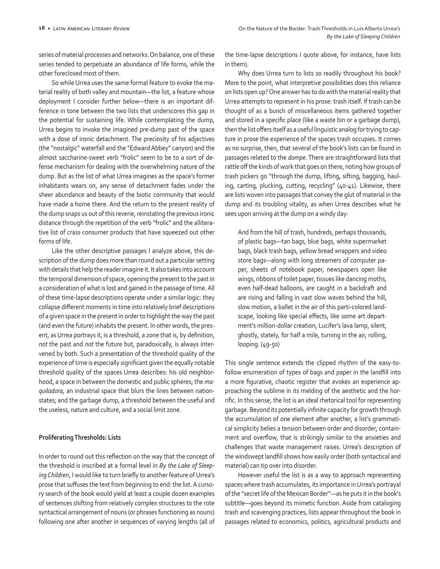series of material processes and networks. On balance, one of these series tended to perpetuate an abundance of life forms, while the other foreclosed most of them.

So while Urrea uses the same formal feature to evoke the material reality of both valley and mountain—the list, a feature whose deployment I consider further below—there is an important difference in tone between the two lists that underscores this gap in the potential for sustaining life. While contemplating the dump, Urrea begins to invoke the imagined pre-dump past of the space with a dose of ironic detachment. The preciosity of his adjectives (the "nostalgic" waterfall and the "Edward Abbey" canyon) and the almost saccharine-sweet verb "frolic" seem to be to a sort of defense mechanism for dealing with the overwhelming nature of the dump. But as the list of what Urrea imagines as the space's former inhabitants wears on, any sense of detachment fades under the sheer abundance and beauty of the biotic community that would have made a home there. And the return to the present reality of the dump snaps us out of this reverie, reinstating the previous ironic distance through the repetition of the verb "frolic" and the alliterative list of crass consumer products that have squeezed out other forms of life.

Like the other descriptive passages I analyze above, this description of the dump does more than round out a particular setting with details that help the reader imagine it. It also takes into account the temporal dimension of space, opening the present to the past in a consideration of what is lost and gained in the passage of time. All of these time-lapse descriptions operate under a similar logic: they collapse different moments in time into relatively brief descriptions of a given space in the present in order to highlight the way the past (and even the future) inhabits the present. In other words, the present, as Urrea portrays it, is a threshold, a zone that is, by definition, *not* the past and *not* the future but, paradoxically, is always intervened by both. Such a presentation of the threshold quality of the experience of time is especially significant given the equally notable threshold quality of the spaces Urrea describes: his old neighborhood, a space in between the domestic and public spheres; the *maquiladora*, an industrial space that blurs the lines between nationstates; and the garbage dump, a threshold between the useful and the useless, nature and culture, and a social limit zone.

#### **Proliferating Thresholds: Lists**

In order to round out this reflection on the way that the concept of the threshold is inscribed at a formal level in *By the Lake of Sleeping Children*, I would like to turn briefly to another feature of Urrea's prose that suffuses the text from beginning to end: the list. A cursory search of the book would yield at least a couple dozen examples of sentences shifting from relatively complex structures to the rote syntactical arrangement of nouns (or phrases functioning as nouns) following one after another in sequences of varying lengths (all of

the time-lapse descriptions I quote above, for instance, have lists in them).

Why does Urrea turn to lists so readily throughout his book? More to the point, what interpretive possibilities does this reliance on lists open up? One answer has to do with the material reality that Urrea attempts to represent in his prose: trash itself. If trash can be thought of as a bunch of miscellaneous items gathered together and stored in a specific place (like a waste bin or a garbage dump), then the list offers itself as a useful linguistic analog for trying to capture in prose the experience of the spaces trash occupies. It comes as no surprise, then, that several of the book's lists can be found in passages related to the *dompe*. There are straightforward lists that rattle off the kinds of work that goes on there, noting how groups of trash pickers go "through the dump, lifting, sifting, bagging, hauling, carting, plucking, cutting, recycling" (40-41). Likewise, there are lists woven into passages that convey the glut of material in the dump and its troubling vitality, as when Urrea describes what he sees upon arriving at the dump on a windy day:

And from the hill of trash, hundreds, perhaps thousands, of plastic bags—tan bags, blue bags, white supermarket bags, black trash bags, yellow bread wrappers and video store bags—along with long streamers of computer paper, sheets of notebook paper, newspapers open like wings, ribbons of toilet paper, tissues like dancing moths, even half-dead balloons, are caught in a backdraft and are rising and falling in vast slow waves behind the hill, slow motion, a ballet in the air of this parti-colored landscape, looking like special effects, like some art department's million-dollar creation, Lucifer's lava lamp, silent, ghostly, stately, for half a mile, turning in the air, rolling, looping. (49-50)

This single sentence extends the clipped rhythm of the easy-tofollow enumeration of types of bags and paper in the landfill into a more figurative, chaotic register that evokes an experience approaching the sublime in its melding of the aesthetic and the horrific. In this sense, the list is an ideal rhetorical tool for representing garbage. Beyond its potentially infinite capacity for growth through the accumulation of one element after another, a list's grammatical simplicity belies a tension between order and disorder, containment and overflow, that is strikingly similar to the anxieties and challenges that waste management raises. Urrea's description of the windswept landfill shows how easily order (both syntactical and material) can tip over into disorder.

However useful the list is as a way to approach representing spaces where trash accumulates, its importance in Urrea's portrayal of the "secret life of the Mexican Border"—as he puts it in the book's subtitle—goes beyond its mimetic function. Aside from cataloging trash and scavenging practices, lists appear throughout the book in passages related to economics, politics, agricultural products and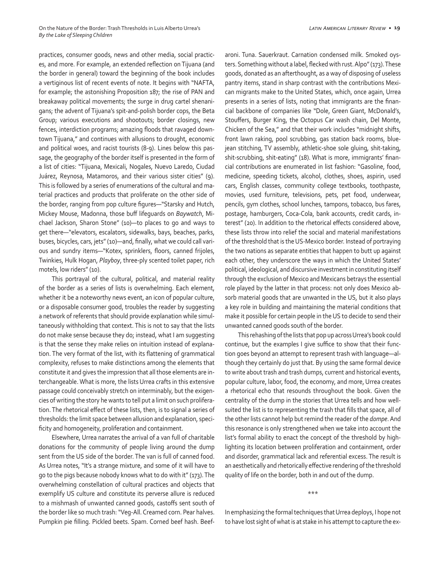practices, consumer goods, news and other media, social practices, and more. For example, an extended reflection on Tijuana (and the border in general) toward the beginning of the book includes a vertiginous list of recent events of note. It begins with "NAFTA, for example; the astonishing Proposition 187; the rise of PAN and breakaway political movements; the surge in drug cartel shenanigans; the advent of Tijuana's spit-and-polish border cops, the Beta Group; various executions and shootouts; border closings, new fences, interdiction programs; amazing floods that ravaged downtown Tijuana," and continues with allusions to drought, economic and political woes, and racist tourists (8-9). Lines below this passage, the geography of the border itself is presented in the form of a list of cities: "Tijuana, Mexicali, Nogales, Nuevo Laredo, Ciudad Juárez, Reynosa, Matamoros, and their various sister cities" (9). This is followed by a series of enumerations of the cultural and material practices and products that proliferate on the other side of the border, ranging from pop culture figures—"Starsky and Hutch, Mickey Mouse, Madonna, those buff lifeguards on *Baywatch*, Michael Jackson, Sharon Stone" (10)—to places to go and ways to get there—"elevators, escalators, sidewalks, bays, beaches, parks, buses, bicycles, cars, jets" (10)—and, finally, what we could call various and sundry items—"Kotex, sprinklers, floors, canned frijoles, Twinkies, Hulk Hogan, *Playboy*, three-ply scented toilet paper, rich motels, low riders" (10).

This portrayal of the cultural, political, and material reality of the border as a series of lists is overwhelming. Each element, whether it be a noteworthy news event, an icon of popular culture, or a disposable consumer good, troubles the reader by suggesting a network of referents that should provide explanation while simultaneously withholding that context. This is not to say that the lists do not make sense because they do; instead, what I am suggesting is that the sense they make relies on intuition instead of explanation. The very format of the list, with its flattening of grammatical complexity, refuses to make distinctions among the elements that constitute it and gives the impression that all those elements are interchangeable. What is more, the lists Urrea crafts in this extensive passage could conceivably stretch on interminably, but the exigencies of writing the story he wants to tell put a limit on such proliferation. The rhetorical effect of these lists, then, is to signal a series of thresholds: the limit space between allusion and explanation, specificity and homogeneity, proliferation and containment.

Elsewhere, Urrea narrates the arrival of a van full of charitable donations for the community of people living around the dump sent from the US side of the border. The van is full of canned food. As Urrea notes, "It's a strange mixture, and some of it will have to go to the pigs because nobody knows what to do with it" (173). The overwhelming constellation of cultural practices and objects that exemplify US culture and constitute its perverse allure is reduced to a mishmash of unwanted canned goods, castoffs sent south of the border like so much trash: "Veg-All. Creamed corn. Pear halves. Pumpkin pie filling. Pickled beets. Spam. Corned beef hash. Beefaroni. Tuna. Sauerkraut. Carnation condensed milk. Smoked oysters. Something without a label, flecked with rust. Alpo" (173). These goods, donated as an afterthought, as a way of disposing of useless pantry items, stand in sharp contrast with the contributions Mexican migrants make to the United States, which, once again, Urrea presents in a series of lists, noting that immigrants are the financial backbone of companies like "Dole, Green Giant, McDonald's, Stouffers, Burger King, the Octopus Car wash chain, Del Monte, Chicken of the Sea," and that their work includes "midnight shifts, front lawn raking, pool scrubbing, gas station back rooms, bluejean stitching, TV assembly, athletic-shoe sole gluing, shit-taking, shit-scrubbing, shit-eating" (18). What is more, immigrants' financial contributions are enumerated in list fashion: "Gasoline, food, medicine, speeding tickets, alcohol, clothes, shoes, aspirin, used cars, English classes, community college textbooks, toothpaste, movies, used furniture, televisions, pets, pet food, underwear, pencils, gym clothes, school lunches, tampons, tobacco, bus fares, postage, hamburgers, Coca-Cola, bank accounts, credit cards, interest" (20). In addition to the rhetorical effects considered above, these lists throw into relief the social and material manifestations of the threshold that is the US-Mexico border. Instead of portraying the two nations as separate entities that happen to butt up against each other, they underscore the ways in which the United States' political, ideological, and discursive investment in constituting itself through the exclusion of Mexico and Mexicans betrays the essential role played by the latter in that process: not only does Mexico absorb material goods that are unwanted in the US, but it also plays a key role in building and maintaining the material conditions that make it possible for certain people in the US to decide to send their unwanted canned goods south of the border.

This rehashing of the lists that pop up across Urrea's book could continue, but the examples I give suffice to show that their function goes beyond an attempt to represent trash with language—although they certainly do just that. By using the same formal device to write about trash and trash dumps, current and historical events, popular culture, labor, food, the economy, and more, Urrea creates a rhetorical echo that resounds throughout the book. Given the centrality of the dump in the stories that Urrea tells and how wellsuited the list is to representing the trash that fills that space, all of the other lists cannot help but remind the reader of the *dompe*. And this resonance is only strengthened when we take into account the list's formal ability to enact the concept of the threshold by highlighting its location between proliferation and containment, order and disorder, grammatical lack and referential excess. The result is an aesthetically and rhetorically effective rendering of the threshold quality of life on the border, both in and out of the dump.

\*\*\*

In emphasizing the formal techniques that Urrea deploys, I hope not to have lost sight of what is at stake in his attempt to capture the ex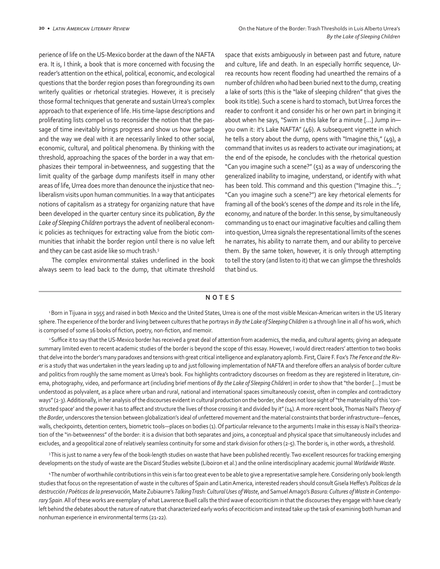perience of life on the US-Mexico border at the dawn of the NAFTA era. It is, I think, a book that is more concerned with focusing the reader's attention on the ethical, political, economic, and ecological questions that the border region poses than foregrounding its own writerly qualities or rhetorical strategies. However, it is precisely those formal techniques that generate and sustain Urrea's complex approach to that experience of life. His time-lapse descriptions and proliferating lists compel us to reconsider the notion that the passage of time inevitably brings progress and show us how garbage and the way we deal with it are necessarily linked to other social, economic, cultural, and political phenomena. By thinking with the threshold, approaching the spaces of the border in a way that emphasizes their temporal in-betweenness, and suggesting that the limit quality of the garbage dump manifests itself in many other areas of life, Urrea does more than denounce the injustice that neoliberalism visits upon human communities. In a way that anticipates notions of capitalism as a strategy for organizing nature that have been developed in the quarter century since its publication, *By the Lake of Sleeping Children* portrays the advent of neoliberal economic policies as techniques for extracting value from the biotic communities that inhabit the border region until there is no value left and they can be cast aside like so much trash.<sup>5</sup>

The complex environmental stakes underlined in the book always seem to lead back to the dump, that ultimate threshold space that exists ambiguously in between past and future, nature and culture, life and death. In an especially horrific sequence, Urrea recounts how recent flooding had unearthed the remains of a number of children who had been buried next to the dump, creating a lake of sorts (this is the "lake of sleeping children" that gives the book its title). Such a scene is hard to stomach, but Urrea forces the reader to confront it and consider his or her own part in bringing it about when he says, "Swim in this lake for a minute […] Jump in you own it: it's Lake NAFTA" (46). A subsequent vignette in which he tells a story about the dump, opens with "Imagine this," (49), a command that invites us as readers to activate our imaginations; at the end of the episode, he concludes with the rhetorical question "Can you imagine such a scene?" (51) as a way of underscoring the generalized inability to imagine, understand, or identify with what has been told. This command and this question ("Imagine this..."; "Can you imagine such a scene?") are key rhetorical elements for framing all of the book's scenes of the *dompe* and its role in the life, economy, and nature of the border. In this sense, by simultaneously commanding us to enact our imaginative faculties and calling them into question, Urrea signals the representational limits of the scenes he narrates, his ability to narrate them, and our ability to perceive them. By the same token, however, it is only through attempting to tell the story (and listen to it) that we can glimpse the thresholds that bind us.

#### **NOTES**

1 Born in Tijuana in 1955 and raised in both Mexico and the United States, Urrea is one of the most visible Mexican-American writers in the US literary sphere. The experience of the border and living between cultures that he portrays in *By the Lake of Sleeping Children* is a through line in all of his work, which is comprised of some 16 books of fiction, poetry, non-fiction, and memoir.

<sup>2</sup>Suffice it to say that the US-Mexico border has received a great deal of attention from academics, the media, and cultural agents; giving an adequate summary limited even to recent academic studies of the border is beyond the scope of this essay. However, I would direct readers' attention to two books that delve into the border's many paradoxes and tensions with great critical intelligence and explanatory aplomb. First, Claire F. Fox's *The Fence and the River* is a study that was undertaken in the years leading up to and just following implementation of NAFTA and therefore offers an analysis of border culture and politics from roughly the same moment as Urrea's book. Fox highlights contradictory discourses on freedom as they are registered in literature, cinema, photography, video, and performance art (including brief mentions of *By the Lake of Sleeping Children*) in order to show that "the border […] must be understood as polyvalent, as a place where urban and rural, national and international spaces simultaneously coexist, often in complex and contradictory ways" (2-3). Additionally, in her analysis of the discourses evident in cultural production on the border, she does not lose sight of "the materiality of this 'constructed space' and the power it has to affect and structure the lives of those crossing it and divided by it" (14). A more recent book, Thomas Nail's *Theory of the Border*, underscores the tension between globalization's ideal of unfettered movement and the material constraints that border infrastructure—fences, walls, checkpoints, detention centers, biometric tools—places on bodies (1). Of particular relevance to the arguments I make in this essay is Nail's theorization of the "in-betweenness" of the border: it is a division that both separates and joins, a conceptual and physical space that simultaneously includes and excludes, and a geopolitical zone of relatively seamless continuity for some and stark division for others (2-5). The border is, in other words, a threshold.

<sup>3</sup>This is just to name a very few of the book-length studies on waste that have been published recently. Two excellent resources for tracking emerging developments on the study of waste are the Discard Studies website (Liboiron et al.) and the online interdisciplinary academic journal *Worldwide Waste*.

4 The number of worthwhile contributions in this vein is far too great even to be able to give a representative sample here. Considering only book-length studies that focus on the representation of waste in the cultures of Spain and Latin America, interested readers should consult Gisela Heffes's *Políticas de la destrucción / Poéticas de la preservación*, Maite Zubiaurre's *Talking Trash: Cultural Uses of Waste*, and Samuel Amago's *Basura: Cultures of Waste in Contemporary Spain*. All of these works are exemplary of what Lawrence Buell calls the third wave of ecocriticism in that the discourses they engage with have clearly left behind the debates about the nature of nature that characterized early works of ecocriticism and instead take up the task of examining both human and nonhuman experience in environmental terms (21-22).